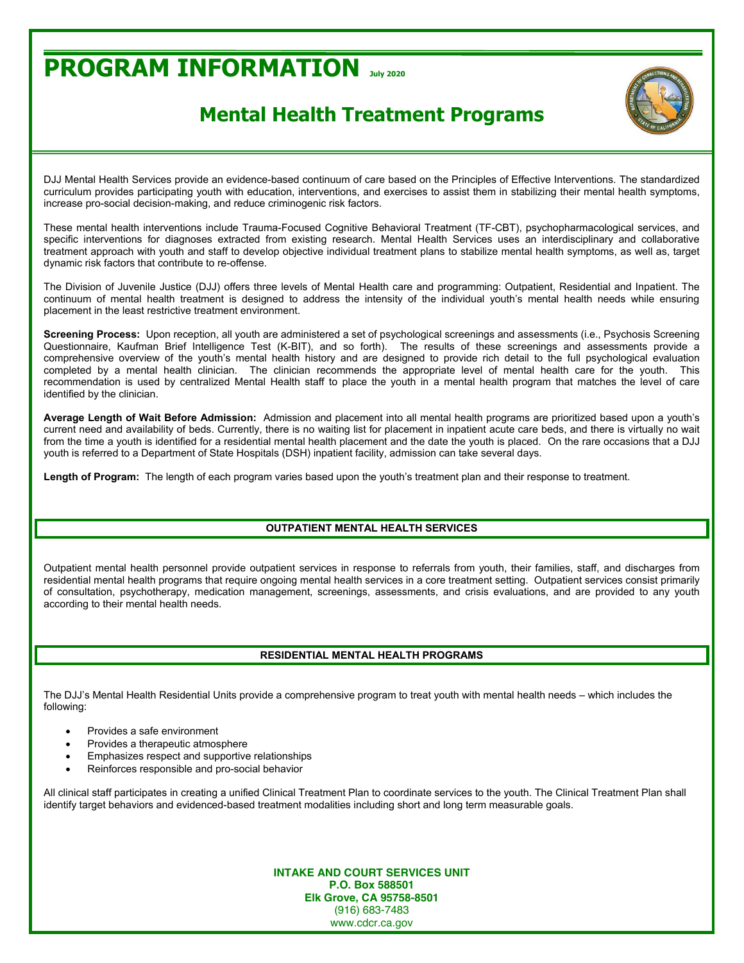# **PROGRAM INFORMATION July <sup>2020</sup>**

## **Mental Health Treatment Programs**

DJJ Mental Health Services provide an evidence-based continuum of care based on the Principles of Effective Interventions. The standardized curriculum provides participating youth with education, interventions, and exercises to assist them in stabilizing their mental health symptoms, increase pro-social decision-making, and reduce criminogenic risk factors.

These mental health interventions include Trauma-Focused Cognitive Behavioral Treatment (TF-CBT), psychopharmacological services, and specific interventions for diagnoses extracted from existing research. Mental Health Services uses an interdisciplinary and collaborative treatment approach with youth and staff to develop objective individual treatment plans to stabilize mental health symptoms, as well as, target dynamic risk factors that contribute to re-offense.

The Division of Juvenile Justice (DJJ) offers three levels of Mental Health care and programming: Outpatient, Residential and Inpatient. The continuum of mental health treatment is designed to address the intensity of the individual youth's mental health needs while ensuring placement in the least restrictive treatment environment.

**Screening Process:** Upon reception, all youth are administered a set of psychological screenings and assessments (i.e., Psychosis Screening Questionnaire, Kaufman Brief Intelligence Test (K-BIT), and so forth). The results of these screenings and assessments provide a comprehensive overview of the youth's mental health history and are designed to provide rich detail to the full psychological evaluation completed by a mental health clinician. The clinician recommends the appropriate level of mental health care for the youth. This recommendation is used by centralized Mental Health staff to place the youth in a mental health program that matches the level of care identified by the clinician.

Average Length of Wait Before Admission: Admission and placement into all mental health programs are prioritized based upon a youth's current need and availability of beds. Currently, there is no waiting list for placement in inpatient acute care beds, and there is virtually no wait from the time a youth is identified for a residential mental health placement and the date the youth is placed. On the rare occasions that a DJJ youth is referred to a Department of State Hospitals (DSH) inpatient facility, admission can take several days.

Length of Program: The length of each program varies based upon the youth's treatment plan and their response to treatment.

### **OUTPATIENT MENTAL HEALTH SERVICES**

Outpatient mental health personnel provide outpatient services in response to referrals from youth, their families, staff, and discharges from residential mental health programs that require ongoing mental health services in a core treatment setting. Outpatient services consist primarily of consultation, psychotherapy, medication management, screenings, assessments, and crisis evaluations, and are provided to any youth according to their mental health needs.

### **RESIDENTIAL MENTAL HEALTH PROGRAMS**

The DJJ's Mental Health Residential Units provide a comprehensive program to treat youth with mental health needs - which includes the following:

- Provides a safe environment
- Provides a therapeutic atmosphere
- Emphasizes respect and supportive relationships
- Reinforces responsible and pro-social behavior

All clinical staff participates in creating a unified Clinical Treatment Plan to coordinate services to the youth. The Clinical Treatment Plan shall identify target behaviors and evidenced-based treatment modalities including short and long term measurable goals.

> **INTAKE AND COURT SERVICES UNIT P.O. Box 588501 Elk Grove, CA 95758-8501** (916) 683-7483 www.cdcr.ca.gov